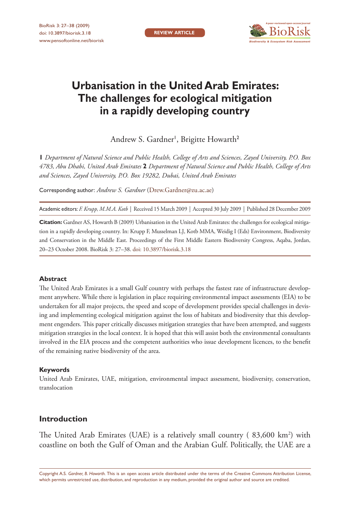**REVIEW ARTICLE**



# **Urbanisation in the United Arab Emirates: The challenges for ecological mitigation in a rapidly developing country**

Andrew S. Gardner', Brigitte Howarth<sup>2</sup>

**1** *Department of Natural Science and Public Health, College of Arts and Sciences, Zayed University, P.O. Box 4783, Abu Dhabi, United Arab Emirates* **2** *Department of Natural Science and Public Health, College of Arts and Sciences, Zayed University, P.O. Box 19282, Dubai, United Arab Emirates*

Corresponding author: *Andrew S. Gardner* [\(Drew.Gardner@zu.ac.ae\)](mailto:Drew.Gardner@zu.ac.ae)

Academic editors: *F. Krupp, M.M.A. Kotb* | Received 15 March 2009 | Accepted 30 July 2009 | Published 28 December 2009

**Citation:** Gardner AS, Howarth B (2009) Urbanisation in the United Arab Emirates: the challenges for ecological mitigation in a rapidly developing country. In: Krupp F, Musselman LJ, Kotb MMA, Weidig I (Eds) Environment, Biodiversity and Conservation in the Middle East. Proceedings of the First Middle Eastern Biodiversity Congress, Aqaba, Jordan, 20–23 October 2008. BioRisk 3: 27–38. [doi: 10.3897/biorisk.3.18](http://dx.doi.org/10.3897/biorisk.3.18)

#### **Abstract**

The United Arab Emirates is a small Gulf country with perhaps the fastest rate of infrastructure development anywhere. While there is legislation in place requiring environmental impact assessments (EIA) to be undertaken for all major projects, the speed and scope of development provides special challenges in devising and implementing ecological mitigation against the loss of habitats and biodiversity that this development engenders. This paper critically discusses mitigation strategies that have been attempted, and suggests mitigation strategies in the local context. It is hoped that this will assist both the environmental consultants involved in the EIA process and the competent authorities who issue development licences, to the benefit of the remaining native biodiversity of the area.

#### **Keywords**

United Arab Emirates, UAE, mitigation, environmental impact assessment, biodiversity, conservation, translocation

## **Introduction**

The United Arab Emirates (UAE) is a relatively small country ( $83,600 \text{ km}^2$ ) with coastline on both the Gulf of Oman and the Arabian Gulf. Politically, the UAE are a

Copyright A.S. *Gardner, B. Howarth.* This is an open access article distributed under the terms of the [Creative Commons Attribution License,](http://creativecommons.org/licenses/by/3.0/)  which permits unrestricted use, distribution, and reproduction in any medium, provided the original author and source are credited.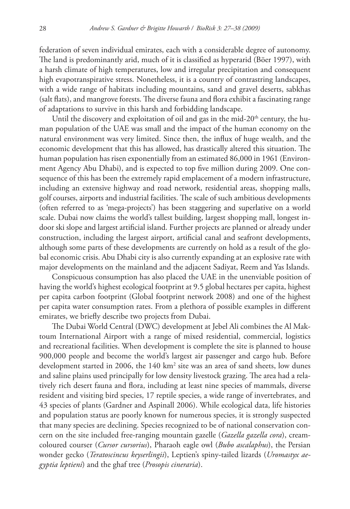federation of seven individual emirates, each with a considerable degree of autonomy. The land is predominantly arid, much of it is classified as hyperarid (Böer 1997), with a harsh climate of high temperatures, low and irregular precipitation and consequent high evapotranspirative stress. Nonetheless, it is a country of contrastring landscapes, with a wide range of habitats including mountains, sand and gravel deserts, sabkhas (salt flats), and mangrove forests. The diverse fauna and flora exhibit a fascinating range of adaptations to survive in this harsh and forbidding landscape.

Until the discovery and exploitation of oil and gas in the mid- $20<sup>th</sup>$  century, the human population of the UAE was small and the impact of the human economy on the natural environment was very limited. Since then, the influx of huge wealth, and the economic development that this has allowed, has drastically altered this situation. The human population has risen exponentially from an estimated 86,000 in 1961 (Environment Agency Abu Dhabi), and is expected to top five million during 2009. One consequence of this has been the extremely rapid emplacement of a modern infrastructure, including an extensive highway and road network, residential areas, shopping malls, golf courses, airports and industrial facilities. The scale of such ambitious developments (often referred to as 'mega-projects') has been staggering and superlative on a world scale. Dubai now claims the world's tallest building, largest shopping mall, longest indoor ski slope and largest artificial island. Further projects are planned or already under construction, including the largest airport, artificial canal and seafront developments, although some parts of these developments are currently on hold as a result of the global economic crisis. Abu Dhabi city is also currently expanding at an explosive rate with major developments on the mainland and the adjacent Sadiyat, Reem and Yas Islands.

Conspicuous consumption has also placed the UAE in the unenviable position of having the world's highest ecological footprint at 9.5 global hectares per capita, highest per capita carbon footprint (Global footprint network 2008) and one of the highest per capita water consumption rates. From a plethora of possible examples in different emirates, we briefly describe two projects from Dubai.

The Dubai World Central (DWC) development at Jebel Ali combines the Al Maktoum International Airport with a range of mixed residential, commercial, logistics and recreational facilities. When development is complete the site is planned to house 900,000 people and become the world's largest air passenger and cargo hub. Before development started in 2006, the 140 km<sup>2</sup> site was an area of sand sheets, low dunes and saline plains used principally for low density livestock grazing. The area had a relatively rich desert fauna and flora, including at least nine species of mammals, diverse resident and visiting bird species, 17 reptile species, a wide range of invertebrates, and 43 species of plants (Gardner and Aspinall 2006). While ecological data, life histories and population status are poorly known for numerous species, it is strongly suspected that many species are declining. Species recognized to be of national conservation concern on the site included free-ranging mountain gazelle (*Gazella gazella cora*), creamcoloured courser (*Cursor cursorius*), Pharaoh eagle owl (*Bubo ascalaphus*), the Persian wonder gecko (*Teratoscincus keyserlingii*), Leptien's spiny-tailed lizards (*Uromastyx aegyptia leptieni*) and the ghaf tree (*Prosopis cineraria*).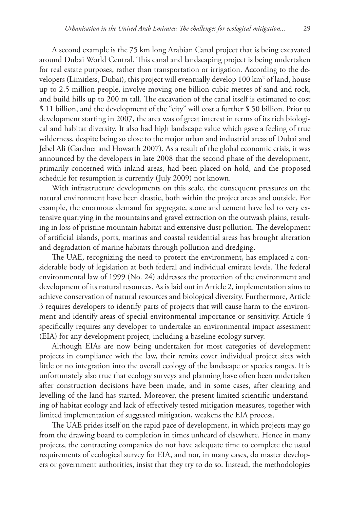A second example is the 75 km long Arabian Canal project that is being excavated around Dubai World Central. This canal and landscaping project is being undertaken for real estate purposes, rather than transportation or irrigation. According to the developers (Limitless, Dubai), this project will eventually develop 100 km<sup>2</sup> of land, house up to 2.5 million people, involve moving one billion cubic metres of sand and rock, and build hills up to 200 m tall. The excavation of the canal itself is estimated to cost \$ 11 billion, and the development of the "city" will cost a further \$ 50 billion. Prior to development starting in 2007, the area was of great interest in terms of its rich biological and habitat diversity. It also had high landscape value which gave a feeling of true wilderness, despite being so close to the major urban and industrial areas of Dubai and Jebel Ali (Gardner and Howarth 2007). As a result of the global economic crisis, it was announced by the developers in late 2008 that the second phase of the development, primarily concerned with inland areas, had been placed on hold, and the proposed schedule for resumption is currently (July 2009) not known.

With infrastructure developments on this scale, the consequent pressures on the natural environment have been drastic, both within the project areas and outside. For example, the enormous demand for aggregate, stone and cement have led to very extensive quarrying in the mountains and gravel extraction on the outwash plains, resulting in loss of pristine mountain habitat and extensive dust pollution. The development of artificial islands, ports, marinas and coastal residential areas has brought alteration and degradation of marine habitats through pollution and dredging.

The UAE, recognizing the need to protect the environment, has emplaced a considerable body of legislation at both federal and individual emirate levels. The federal environmental law of 1999 (No. 24) addresses the protection of the environment and development of its natural resources. As is laid out in Article 2, implementation aims to achieve conservation of natural resources and biological diversity. Furthermore, Article 3 requires developers to identify parts of projects that will cause harm to the environment and identify areas of special environmental importance or sensitivity. Article 4 specifically requires any developer to undertake an environmental impact assessment (EIA) for any development project, including a baseline ecology survey.

Although EIAs are now being undertaken for most categories of development projects in compliance with the law, their remits cover individual project sites with little or no integration into the overall ecology of the landscape or species ranges. It is unfortunately also true that ecology surveys and planning have often been undertaken after construction decisions have been made, and in some cases, after clearing and levelling of the land has started. Moreover, the present limited scientific understanding of habitat ecology and lack of effectively tested mitigation measures, together with limited implementation of suggested mitigation, weakens the EIA process.

The UAE prides itself on the rapid pace of development, in which projects may go from the drawing board to completion in times unheard of elsewhere. Hence in many projects, the contracting companies do not have adequate time to complete the usual requirements of ecological survey for EIA, and nor, in many cases, do master developers or government authorities, insist that they try to do so. Instead, the methodologies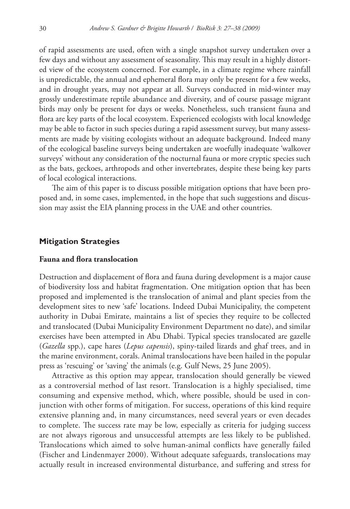of rapid assessments are used, often with a single snapshot survey undertaken over a few days and without any assessment of seasonality. This may result in a highly distorted view of the ecosystem concerned. For example, in a climate regime where rainfall is unpredictable, the annual and ephemeral flora may only be present for a few weeks, and in drought years, may not appear at all. Surveys conducted in mid-winter may grossly underestimate reptile abundance and diversity, and of course passage migrant birds may only be present for days or weeks. Nonetheless, such transient fauna and flora are key parts of the local ecosystem. Experienced ecologists with local knowledge may be able to factor in such species during a rapid assessment survey, but many assessments are made by visiting ecologists without an adequate background. Indeed many of the ecological baseline surveys being undertaken are woefully inadequate 'walkover surveys' without any consideration of the nocturnal fauna or more cryptic species such as the bats, geckoes, arthropods and other invertebrates, despite these being key parts of local ecological interactions.

The aim of this paper is to discuss possible mitigation options that have been proposed and, in some cases, implemented, in the hope that such suggestions and discussion may assist the EIA planning process in the UAE and other countries.

#### **Mitigation Strategies**

#### **Fauna and flora translocation**

Destruction and displacement of flora and fauna during development is a major cause of biodiversity loss and habitat fragmentation. One mitigation option that has been proposed and implemented is the translocation of animal and plant species from the development sites to new 'safe' locations. Indeed Dubai Municipality, the competent authority in Dubai Emirate, maintains a list of species they require to be collected and translocated (Dubai Municipality Environment Department no date), and similar exercises have been attempted in Abu Dhabi. Typical species translocated are gazelle (*Gazella* spp.), cape hares (*Lepus capensis*), spiny-tailed lizards and ghaf trees, and in the marine environment, corals. Animal translocations have been hailed in the popular press as 'rescuing' or 'saving' the animals (e.g. Gulf News, 25 June 2005).

Attractive as this option may appear, translocation should generally be viewed as a controversial method of last resort. Translocation is a highly specialised, time consuming and expensive method, which, where possible, should be used in conjunction with other forms of mitigation. For success, operations of this kind require extensive planning and, in many circumstances, need several years or even decades to complete. The success rate may be low, especially as criteria for judging success are not always rigorous and unsuccessful attempts are less likely to be published. Translocations which aimed to solve human-animal conflicts have generally failed (Fischer and Lindenmayer 2000). Without adequate safeguards, translocations may actually result in increased environmental disturbance, and suffering and stress for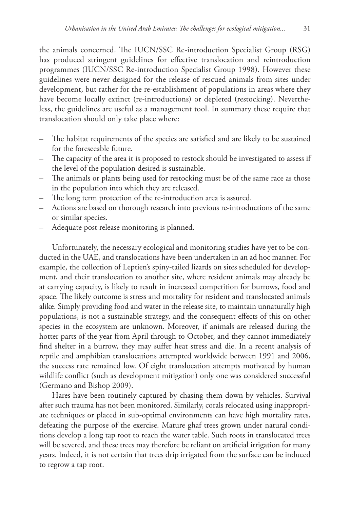the animals concerned. The IUCN/SSC Re-introduction Specialist Group (RSG) has produced stringent guidelines for effective translocation and reintroduction programmes (IUCN/SSC Re-introduction Specialist Group 1998). However these guidelines were never designed for the release of rescued animals from sites under development, but rather for the re-establishment of populations in areas where they have become locally extinct (re-introductions) or depleted (restocking). Nevertheless, the guidelines are useful as a management tool. In summary these require that translocation should only take place where:

- The habitat requirements of the species are satisfied and are likely to be sustained for the foreseeable future.
- The capacity of the area it is proposed to restock should be investigated to assess if the level of the population desired is sustainable.
- $-$  The animals or plants being used for restocking must be of the same race as those in the population into which they are released.
- The long term protection of the re-introduction area is assured.
- Actions are based on thorough research into previous re-introductions of the same or similar species.
- Adequate post release monitoring is planned.

Unfortunately, the necessary ecological and monitoring studies have yet to be conducted in the UAE, and translocations have been undertaken in an ad hoc manner. For example, the collection of Leptien's spiny-tailed lizards on sites scheduled for development, and their translocation to another site, where resident animals may already be at carrying capacity, is likely to result in increased competition for burrows, food and space. The likely outcome is stress and mortality for resident and translocated animals alike. Simply providing food and water in the release site, to maintain unnaturally high populations, is not a sustainable strategy, and the consequent effects of this on other species in the ecosystem are unknown. Moreover, if animals are released during the hotter parts of the year from April through to October, and they cannot immediately find shelter in a burrow, they may suffer heat stress and die. In a recent analysis of reptile and amphibian translocations attempted worldwide between 1991 and 2006, the success rate remained low. Of eight translocation attempts motivated by human wildlife conflict (such as development mitigation) only one was considered successful (Germano and Bishop 2009).

Hares have been routinely captured by chasing them down by vehicles. Survival after such trauma has not been monitored. Similarly, corals relocated using inappropriate techniques or placed in sub-optimal environments can have high mortality rates, defeating the purpose of the exercise. Mature ghaf trees grown under natural conditions develop a long tap root to reach the water table. Such roots in translocated trees will be severed, and these trees may therefore be reliant on artificial irrigation for many years. Indeed, it is not certain that trees drip irrigated from the surface can be induced to regrow a tap root.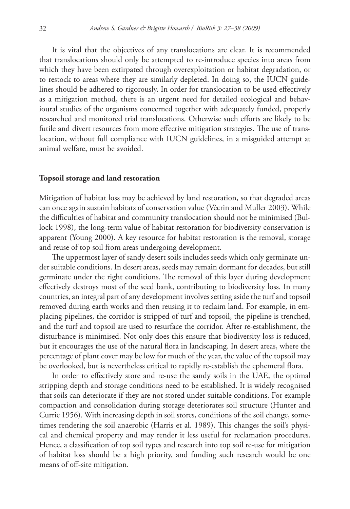It is vital that the objectives of any translocations are clear. It is recommended that translocations should only be attempted to re-introduce species into areas from which they have been extirpated through overexploitation or habitat degradation, or to restock to areas where they are similarly depleted. In doing so, the IUCN guidelines should be adhered to rigorously. In order for translocation to be used effectively as a mitigation method, there is an urgent need for detailed ecological and behavioural studies of the organisms concerned together with adequately funded, properly researched and monitored trial translocations. Otherwise such efforts are likely to be futile and divert resources from more effective mitigation strategies. The use of translocation, without full compliance with IUCN guidelines, in a misguided attempt at animal welfare, must be avoided.

#### **Topsoil storage and land restoration**

Mitigation of habitat loss may be achieved by land restoration, so that degraded areas can once again sustain habitats of conservation value (Vécrin and Muller 2003). While the difficulties of habitat and community translocation should not be minimised (Bullock 1998), the long-term value of habitat restoration for biodiversity conservation is apparent (Young 2000). A key resource for habitat restoration is the removal, storage and reuse of top soil from areas undergoing development.

The uppermost layer of sandy desert soils includes seeds which only germinate under suitable conditions. In desert areas, seeds may remain dormant for decades, but still germinate under the right conditions. The removal of this layer during development effectively destroys most of the seed bank, contributing to biodiversity loss. In many countries, an integral part of any development involves setting aside the turf and topsoil removed during earth works and then reusing it to reclaim land. For example, in emplacing pipelines, the corridor is stripped of turf and topsoil, the pipeline is trenched, and the turf and topsoil are used to resurface the corridor. After re-establishment, the disturbance is minimised. Not only does this ensure that biodiversity loss is reduced, but it encourages the use of the natural flora in landscaping. In desert areas, where the percentage of plant cover may be low for much of the year, the value of the topsoil may be overlooked, but is nevertheless critical to rapidly re-establish the ephemeral flora.

In order to effectively store and re-use the sandy soils in the UAE, the optimal stripping depth and storage conditions need to be established. It is widely recognised that soils can deteriorate if they are not stored under suitable conditions. For example compaction and consolidation during storage deteriorates soil structure (Hunter and Currie 1956). With increasing depth in soil stores, conditions of the soil change, sometimes rendering the soil anaerobic (Harris et al. 1989). This changes the soil's physical and chemical property and may render it less useful for reclamation procedures. Hence, a classification of top soil types and research into top soil re-use for mitigation of habitat loss should be a high priority, and funding such research would be one means of off-site mitigation.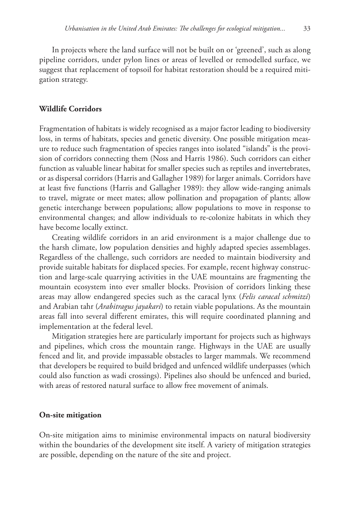In projects where the land surface will not be built on or 'greened', such as along pipeline corridors, under pylon lines or areas of levelled or remodelled surface, we suggest that replacement of topsoil for habitat restoration should be a required mitigation strategy.

#### **Wildlife Corridors**

Fragmentation of habitats is widely recognised as a major factor leading to biodiversity loss, in terms of habitats, species and genetic diversity. One possible mitigation measure to reduce such fragmentation of species ranges into isolated "islands" is the provision of corridors connecting them (Noss and Harris 1986). Such corridors can either function as valuable linear habitat for smaller species such as reptiles and invertebrates, or as dispersal corridors (Harris and Gallagher 1989) for larger animals. Corridors have at least five functions (Harris and Gallagher 1989): they allow wide-ranging animals to travel, migrate or meet mates; allow pollination and propagation of plants; allow genetic interchange between populations; allow populations to move in response to environmental changes; and allow individuals to re-colonize habitats in which they have become locally extinct.

Creating wildlife corridors in an arid environment is a major challenge due to the harsh climate, low population densities and highly adapted species assemblages. Regardless of the challenge, such corridors are needed to maintain biodiversity and provide suitable habitats for displaced species. For example, recent highway construction and large-scale quarrying activities in the UAE mountains are fragmenting the mountain ecosystem into ever smaller blocks. Provision of corridors linking these areas may allow endangered species such as the caracal lynx (*Felis caracal schmitzi*) and Arabian tahr (*Arabitragus jayakari*) to retain viable populations. As the mountain areas fall into several different emirates, this will require coordinated planning and implementation at the federal level.

Mitigation strategies here are particularly important for projects such as highways and pipelines, which cross the mountain range. Highways in the UAE are usually fenced and lit, and provide impassable obstacles to larger mammals. We recommend that developers be required to build bridged and unfenced wildlife underpasses (which could also function as wadi crossings). Pipelines also should be unfenced and buried, with areas of restored natural surface to allow free movement of animals.

#### **On-site mitigation**

On-site mitigation aims to minimise environmental impacts on natural biodiversity within the boundaries of the development site itself. A variety of mitigation strategies are possible, depending on the nature of the site and project.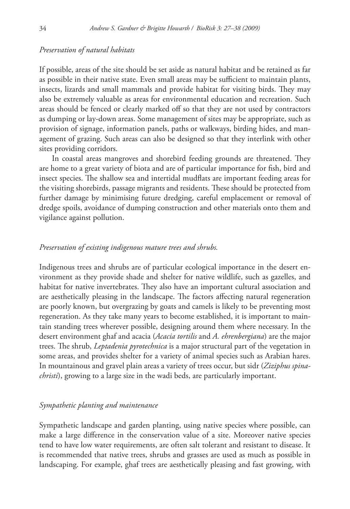#### *Preservation of natural habitats*

If possible, areas of the site should be set aside as natural habitat and be retained as far as possible in their native state. Even small areas may be sufficient to maintain plants, insects, lizards and small mammals and provide habitat for visiting birds. They may also be extremely valuable as areas for environmental education and recreation. Such areas should be fenced or clearly marked off so that they are not used by contractors as dumping or lay-down areas. Some management of sites may be appropriate, such as provision of signage, information panels, paths or walkways, birding hides, and management of grazing. Such areas can also be designed so that they interlink with other sites providing corridors.

In coastal areas mangroves and shorebird feeding grounds are threatened. They are home to a great variety of biota and are of particular importance for fish, bird and insect species. The shallow sea and intertidal mudflats are important feeding areas for the visiting shorebirds, passage migrants and residents. These should be protected from further damage by minimising future dredging, careful emplacement or removal of dredge spoils, avoidance of dumping construction and other materials onto them and vigilance against pollution.

#### *Preservation of existing indigenous mature trees and shrubs.*

Indigenous trees and shrubs are of particular ecological importance in the desert environment as they provide shade and shelter for native wildlife, such as gazelles, and habitat for native invertebrates. They also have an important cultural association and are aesthetically pleasing in the landscape. The factors affecting natural regeneration are poorly known, but overgrazing by goats and camels is likely to be preventing most regeneration. As they take many years to become established, it is important to maintain standing trees wherever possible, designing around them where necessary. In the desert environment ghaf and acacia (*Acacia tortilis* and *A. ehrenbergiana*) are the major trees. The shrub, *Leptadenia pyrotechnica* is a major structural part of the vegetation in some areas, and provides shelter for a variety of animal species such as Arabian hares. In mountainous and gravel plain areas a variety of trees occur, but sidr (*Ziziphus spinachristi*), growing to a large size in the wadi beds, are particularly important.

## *Sympathetic planting and maintenance*

Sympathetic landscape and garden planting, using native species where possible, can make a large difference in the conservation value of a site. Moreover native species tend to have low water requirements, are often salt tolerant and resistant to disease. It is recommended that native trees, shrubs and grasses are used as much as possible in landscaping. For example, ghaf trees are aesthetically pleasing and fast growing, with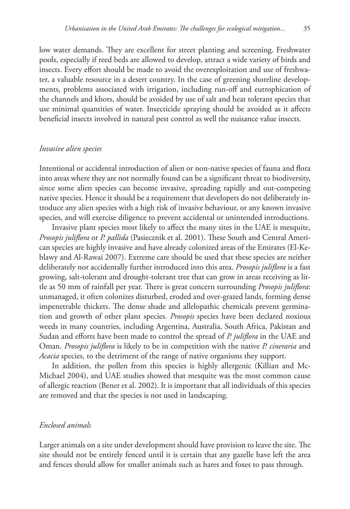low water demands. They are excellent for street planting and screening. Freshwater pools, especially if reed beds are allowed to develop, attract a wide variety of birds and insects. Every effort should be made to avoid the overexploitation and use of freshwater, a valuable resource in a desert country. In the case of greening shoreline developments, problems associated with irrigation, including run-off and eutrophication of the channels and khors, should be avoided by use of salt and heat tolerant species that use minimal quantities of water. Insecticide spraying should be avoided as it affects beneficial insects involved in natural pest control as well the nuisance value insects.

#### *Invasive alien species*

Intentional or accidental introduction of alien or non-native species of fauna and flora into areas where they are not normally found can be a significant threat to biodiversity, since some alien species can become invasive, spreading rapidly and out-competing native species. Hence it should be a requirement that developers do not deliberately introduce any alien species with a high risk of invasive behaviour, or any known invasive species, and will exercise diligence to prevent accidental or unintended introductions.

Invasive plant species most likely to affect the many sites in the UAE is mesquite, *Prosopis juliflora* or *P. pallida* (Pasiecznik et al. 2001). These South and Central American species are highly invasive and have already colonized areas of the Emirates (El-Keblawy and Al-Rawai 2007). Extreme care should be used that these species are neither deliberately nor accidentally further introduced into this area. *Prosopis juliflora* is a fast growing, salt-tolerant and drought-tolerant tree that can grow in areas receiving as little as 50 mm of rainfall per year. There is great concern surrounding *Prosopis juliflora*: unmanaged, it often colonizes disturbed, eroded and over-grazed lands, forming dense impenetrable thickets. The dense shade and allelopathic chemicals prevent germination and growth of other plant species. *Prosopis* species have been declared noxious weeds in many countries, including Argentina, Australia, South Africa, Pakistan and Sudan and efforts have been made to control the spread of *P. juliflora* in the UAE and Oman. *Prosopis juliflora* is likely to be in competition with the native *P. cineraria* and *Acacia* species, to the detriment of the range of native organisms they support.

In addition, the pollen from this species is highly allergenic (Killian and Mc-Michael 2004), and UAE studies showed that mesquite was the most common cause of allergic reaction (Bener et al. 2002). It is important that all individuals of this species are removed and that the species is not used in landscaping.

# *Enclosed animals*

Larger animals on a site under development should have provision to leave the site. The site should not be entirely fenced until it is certain that any gazelle have left the area and fences should allow for smaller animals such as hares and foxes to pass through.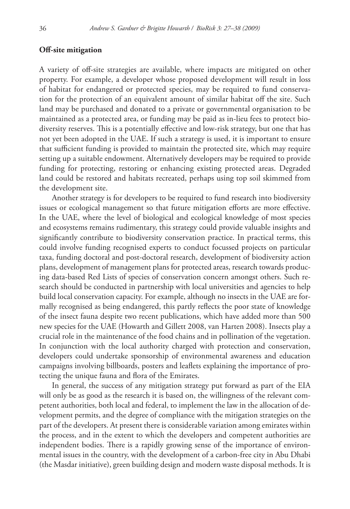#### **Off -site mitigation**

A variety of off-site strategies are available, where impacts are mitigated on other property. For example, a developer whose proposed development will result in loss of habitat for endangered or protected species, may be required to fund conservation for the protection of an equivalent amount of similar habitat off the site. Such land may be purchased and donated to a private or governmental organisation to be maintained as a protected area, or funding may be paid as in-lieu fees to protect biodiversity reserves. This is a potentially effective and low-risk strategy, but one that has not yet been adopted in the UAE. If such a strategy is used, it is important to ensure that sufficient funding is provided to maintain the protected site, which may require setting up a suitable endowment. Alternatively developers may be required to provide funding for protecting, restoring or enhancing existing protected areas. Degraded land could be restored and habitats recreated, perhaps using top soil skimmed from the development site.

Another strategy is for developers to be required to fund research into biodiversity issues or ecological management so that future mitigation efforts are more effective. In the UAE, where the level of biological and ecological knowledge of most species and ecosystems remains rudimentary, this strategy could provide valuable insights and significantly contribute to biodiversity conservation practice. In practical terms, this could involve funding recognised experts to conduct focussed projects on particular taxa, funding doctoral and post-doctoral research, development of biodiversity action plans, development of management plans for protected areas, research towards producing data-based Red Lists of species of conservation concern amongst others. Such research should be conducted in partnership with local universities and agencies to help build local conservation capacity. For example, although no insects in the UAE are formally recognised as being endangered, this partly reflects the poor state of knowledge of the insect fauna despite two recent publications, which have added more than 500 new species for the UAE (Howarth and Gillett 2008, van Harten 2008). Insects play a crucial role in the maintenance of the food chains and in pollination of the vegetation. In conjunction with the local authority charged with protection and conservation, developers could undertake sponsorship of environmental awareness and education campaigns involving billboards, posters and leaflets explaining the importance of protecting the unique fauna and flora of the Emirates.

In general, the success of any mitigation strategy put forward as part of the EIA will only be as good as the research it is based on, the willingness of the relevant competent authorities, both local and federal, to implement the law in the allocation of development permits, and the degree of compliance with the mitigation strategies on the part of the developers. At present there is considerable variation among emirates within the process, and in the extent to which the developers and competent authorities are independent bodies. There is a rapidly growing sense of the importance of environmental issues in the country, with the development of a carbon-free city in Abu Dhabi (the Masdar initiative), green building design and modern waste disposal methods. It is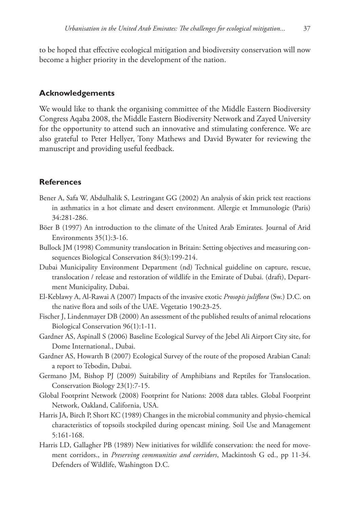to be hoped that effective ecological mitigation and biodiversity conservation will now become a higher priority in the development of the nation.

#### **Acknowledgements**

We would like to thank the organising committee of the Middle Eastern Biodiversity Congress Aqaba 2008, the Middle Eastern Biodiversity Network and Zayed University for the opportunity to attend such an innovative and stimulating conference. We are also grateful to Peter Hellyer, Tony Mathews and David Bywater for reviewing the manuscript and providing useful feedback.

## **References**

- Bener A, Safa W, Abdulhalik S, Lestringant GG (2002) An analysis of skin prick test reactions in asthmatics in a hot climate and desert environment. Allergie et Immunologie (Paris) 34:281-286.
- Böer B (1997) An introduction to the climate of the United Arab Emirates. Journal of Arid Environments 35(1):3-16.
- Bullock JM (1998) Community translocation in Britain: Setting objectives and measuring consequences Biological Conservation 84(3):199-214.
- Dubai Municipality Environment Department (nd) Technical guideline on capture, rescue, translocation / release and restoration of wildlife in the Emirate of Dubai. (draft), Department Municipality, Dubai.
- El-Keblawy A, Al-Rawai A (2007) Impacts of the invasive exotic *Prosopis julifl ora* (Sw.) D.C. on the native flora and soils of the UAE. Vegetatio 190:23-25.
- Fischer J, Lindenmayer DB (2000) An assessment of the published results of animal relocations Biological Conservation 96(1):1-11.
- Gardner AS, Aspinall S (2006) Baseline Ecological Survey of the Jebel Ali Airport City site, for Dome International., Dubai.
- Gardner AS, Howarth B (2007) Ecological Survey of the route of the proposed Arabian Canal: a report to Tebodin, Dubai.
- Germano JM, Bishop PJ (2009) Suitability of Amphibians and Reptiles for Translocation. Conservation Biology 23(1):7-15.
- Global Footprint Network (2008) Footprint for Nations: 2008 data tables. Global Footprint Network, Oakland, California, USA.
- Harris JA, Birch P, Short KC (1989) Changes in the microbial community and physio-chemical characteristics of topsoils stockpiled during opencast mining. Soil Use and Management 5:161-168.
- Harris LD, Gallagher PB (1989) New initiatives for wildlife conservation: the need for movement corridors., in *Preserving communities and corridors*, Mackintosh G ed., pp 11-34. Defenders of Wildlife, Washington D.C.